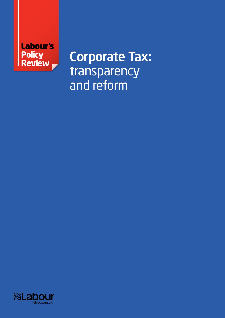

Corporate Tax: transparency and reform

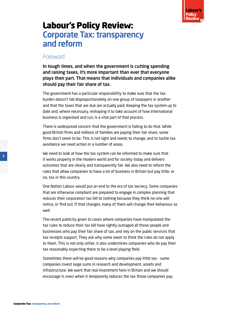

# Labour's Policy Review: Corporate Tax: transparency and reform

#### **Foreword**

In tough times, and when the government is cutting spending and raising taxes, it's more important than ever that everyone plays their part. That means that individuals and companies alike should pay their fair share of tax.

The government has a particular responsibility to make sure that the tax burden doesn't fall disproportionately on one group of taxpayers or another and that the taxes that are due are actually paid. Keeping the tax system up to date and, where necessary, reshaping it to take account of how international business is organised and run, is a vital part of that process.

There is widespread concern that the government is failing to do that. While good British firms and millions of families are paying their fair share, some firms don't seem to be. This is not right and needs to change, and to tackle tax avoidance we need action in a number of areas.

We need to look at how the tax system can be reformed to make sure that it works properly in the modern world and for society today and delivers outcomes that are clearly and transparently fair. We also need to reform the rules that allow companies to have a lot of business in Britain but pay little, or no, tax in this country.

One Nation Labour would put an end to the era of tax secrecy. Some companies that are otherwise compliant are prepared to engage in complex planning that reduces their corporation tax bill to nothing because they think no-one will notice, or find out. If that changes, many of them will change their behaviour as well.

The recent publicity given to cases where companies have manipulated the tax rules to reduce their tax bill have rightly outraged all those people and businesses who pay their fair share of tax, and rely on the public services that tax receipts support. They ask why some seem to think the rules do not apply to them. This is not only unfair, it also undermines companies who do pay their tax reasonably expecting there to be a level playing field.

Sometimes there will be good reasons why companies pay little tax - some companies invest large sums in research and development, assets and infrastructure. We want that real investment here in Britain and we should encourage it, even when it temporarily reduces the tax those companies pay.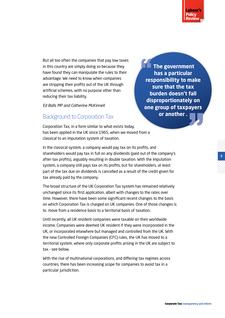

**3** 

But all too often the companies that pay low taxes in this country are simply doing so because they have found they can manipulate the rules to their advantage. We need to know when companies are stripping their profits out of the UK through artificial schemes, with no purpose other than reducing their tax liability.

*Ed Balls MP and Catherine McKinnell*

### Background to Corporation Tax

Corporation Tax, in a form similar to what exists today, has been applied in the UK since 1965, when we moved from a classical to an imputation system of taxation.

 **The government has a particular responsibility to make sure that the tax burden doesn't fall disproportionately on one group of taxpayers or another .** 

In the classical system, a company would pay tax on its profits, and shareholders would pay tax in full on any dividends (paid out of the company's after-tax profits), arguably resulting in double taxation. With the imputation system, a company still pays tax on its profits, but for shareholders, at least part of the tax due on dividends is cancelled as a result of the credit given for tax already paid by the company.

The broad structure of the UK Corporation Tax system has remained relatively unchanged since its first application, albeit with changes to the rates over time. However, there have been some significant recent changes to the basis on which Corporation Tax is charged on UK companies. One of those changes is to move from a residence basis to a territorial basis of taxation.

Until recently, all UK resident companies were taxable on their worldwide income. Companies were deemed UK resident if they were incorporated in the UK, or incorporated elsewhere but managed and controlled from the UK. With the new Controlled Foreign Companies (CFC) rules, the UK has moved to a territorial system, where only corporate profits arising in the UK are subject to tax – see below.

With the rise of multinational corporations, and differing tax regimes across countries, there has been increasing scope for companies to avoid tax in a particular jurisdiction.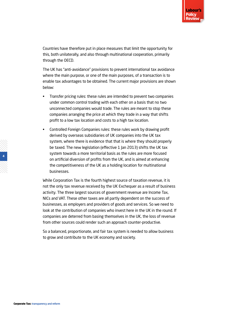Countries have therefore put in place measures that limit the opportunity for this, both unilaterally, and also through multinational cooperation, primarily through the OECD.

The UK has "anti-avoidance" provisions to prevent international tax avoidance where the main purpose, or one of the main purposes, of a transaction is to enable tax advantages to be obtained. The current major provisions are shown below:

- Transfer pricing rules: these rules are intended to prevent two companies under common control trading with each other on a basis that no two unconnected companies would trade. The rules are meant to stop these companies arranging the price at which they trade in a way that shifts profit to a low tax location and costs to a high tax location.
- Controlled Foreign Companies rules: these rules work by drawing profit derived by overseas subsidiaries of UK companies into the UK tax system, where there is evidence that that is where they should properly be taxed. The new legislation (effective 1 Jan 2013) shifts the UK tax system towards a more territorial basis as the rules are more focused on artificial diversion of profits from the UK, and is aimed at enhancing the competitiveness of the UK as a holding location for multinational businesses.

While Corporation Tax is the fourth highest source of taxation revenue, it is not the only tax revenue received by the UK Exchequer as a result of business activity. The three largest sources of government revenue are Income Tax, NICs and VAT. These other taxes are all partly dependent on the success of businesses, as employers and providers of goods and services. So we need to look at the contribution of companies who invest here in the UK in the round. If companies are deterred from basing themselves in the UK, the loss of revenue from other sources could render such an approach counter-productive.

So a balanced, proportionate, and fair tax system is needed to allow business to grow and contribute to the UK economy and society.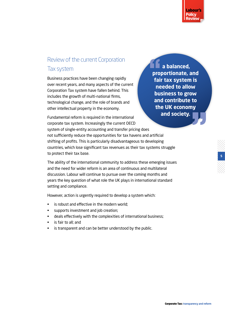

**5** 

# Review of the current Corporation Tax system

Business practices have been changing rapidly over recent years, and many aspects of the current Corporation Tax system have fallen behind. This includes the growth of multi-national firms, technological change, and the role of brands and other intellectual property in the economy.

 **a balanced, proportionate, and fair tax system is needed to allow business to grow and contribute to the UK economy and society.** 

Fundamental reform is required in the international corporate tax system. Increasingly the current OECD system of single-entity accounting and transfer pricing does not sufficiently reduce the opportunities for tax havens and artificial shifting of profits. This is particularly disadvantageous to developing countries, which lose significant tax revenues as their tax systems struggle to protect their tax base.

The ability of the international community to address these emerging issues and the need for wider reform is an area of continuous and multilateral discussion. Labour will continue to pursue over the coming months and years the key question of what role the UK plays in international standard setting and compliance.

However, action is urgently required to develop a system which:

- is robust and effective in the modern world;
- supports investment and job creation;
- deals effectively with the complexities of international business;
- is fair to all; and
- is transparent and can be better understood by the public.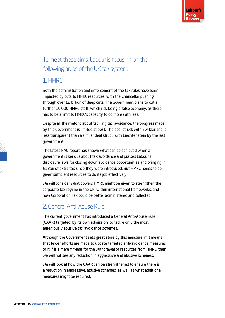# To meet these aims, Labour is focusing on the following areas of the UK tax system:

### 1. HMRC

Both the administration and enforcement of the tax rules have been impacted by cuts to HMRC resources, with the Chancellor pushing through over £2 billion of deep cuts. The Government plans to cut a further 10,000 HMRC staff, which risk being a false economy, as there has to be a limit to HMRC's capacity to do more with less.

Despite all the rhetoric about tackling tax avoidance, the progress made by this Government is limited at best. The deal struck with Switzerland is less transparent than a similar deal struck with Liechtenstein by the last government.

The latest NAO report has shown what can be achieved when a government is serious about tax avoidance and praises Labour's disclosure laws for closing down avoidance opportunities and bringing in £12bn of extra tax since they were introduced. But HMRC needs to be given sufficient resources to do its job effectively.

We will consider what powers HMRC might be given to strengthen the corporate tax regime in the UK, within international frameworks, and how Corporation Tax could be better administered and collected.

### 2. General Anti-Abuse Rule

The current government has introduced a General Anti-Abuse Rule (GAAR) targeted, by its own admission, to tackle only the most egregiously abusive tax avoidance schemes.

Although the Government sets great store by this measure, if it means that fewer efforts are made to update targeted anti-avoidance measures, or it if is a mere fig-leaf for the withdrawal of resources from HMRC, then we will not see any reduction in aggressive and abusive schemes.

We will look at how the GAAR can be strengthened to ensure there is a reduction in aggressive, abusive schemes, as well as what additional measures might be required.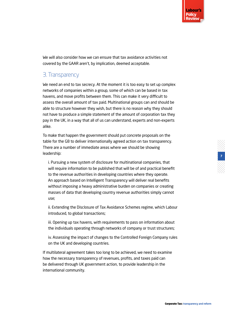We will also consider how we can ensure that tax avoidance activities not covered by the GAAR aren't, by implication, deemed acceptable.

## 3. Transparency

We need an end to tax secrecy. At the moment it is too easy to set up complex networks of companies within a group, some of which can be based in tax havens, and move profits between them. This can make it very difficult to assess the overall amount of tax paid. Multinational groups can and should be able to structure however they wish, but there is no reason why they should not have to produce a simple statement of the amount of corporation tax they pay in the UK, in a way that all of us can understand, experts and non-experts alike.

To make that happen the government should put concrete proposals on the table for the G8 to deliver internationally agreed action on tax transparency. There are a number of immediate areas where we should be showing leadership:

i. Pursuing a new system of disclosure for multinational companies, that will require information to be published that will be of and practical benefit to the revenue authorities in developing countries where they operate. An approach based on Intelligent Transparency will deliver real benefits without imposing a heavy administrative burden on companies or creating masses of data that developing country revenue authorities simply cannot use;

ii. Extending the Disclosure of Tax Avoidance Schemes regime, which Labour introduced, to global transactions;

iii. Opening up tax havens, with requirements to pass on information about the individuals operating through networks of company or trust structures;

iv. Assessing the impact of changes to the Controlled Foreign Company rules on the UK and developing countries.

If multilateral agreement takes too long to be achieved, we need to examine how the necessary transparency of revenues, profits, and taxes paid can be delivered through UK government action, to provide leadership in the international community.